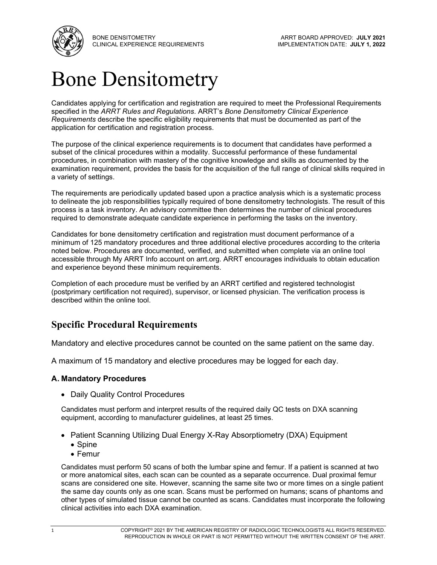

BONE DENSITOMETRY CLINICAL EXPERIENCE REQUIREMENTS

## Bone Densitometry

Candidates applying for certification and registration are required to meet the Professional Requirements specified in the *ARRT Rules and Regulations*. ARRT's *Bone Densitometry Clinical Experience Requirements* describe the specific eligibility requirements that must be documented as part of the application for certification and registration process.

The purpose of the clinical experience requirements is to document that candidates have performed a subset of the clinical procedures within a modality. Successful performance of these fundamental procedures, in combination with mastery of the cognitive knowledge and skills as documented by the examination requirement, provides the basis for the acquisition of the full range of clinical skills required in a variety of settings.

The requirements are periodically updated based upon a practice analysis which is a systematic process to delineate the job responsibilities typically required of bone densitometry technologists. The result of this process is a task inventory. An advisory committee then determines the number of clinical procedures required to demonstrate adequate candidate experience in performing the tasks on the inventory.

Candidates for bone densitometry certification and registration must document performance of a minimum of 125 mandatory procedures and three additional elective procedures according to the criteria noted below. Procedures are documented, verified, and submitted when complete via an online tool accessible through My ARRT Info account on [arrt.org.](https://www.arrt.org/) ARRT encourages individuals to obtain education and experience beyond these minimum requirements.

Completion of each procedure must be verified by an ARRT certified and registered technologist (postprimary certification not required), supervisor, or licensed physician. The verification process is described within the online tool.

## **Specific Procedural Requirements**

Mandatory and elective procedures cannot be counted on the same patient on the same day.

A maximum of 15 mandatory and elective procedures may be logged for each day.

## **A. Mandatory Procedures**

• Daily Quality Control Procedures

Candidates must perform and interpret results of the required daily QC tests on DXA scanning equipment, according to manufacturer guidelines, at least 25 times.

- Patient Scanning Utilizing Dual Energy X-Ray Absorptiometry (DXA) Equipment
	- Spine
	- Femur

Candidates must perform 50 scans of both the lumbar spine and femur. If a patient is scanned at two or more anatomical sites, each scan can be counted as a separate occurrence. Dual proximal femur scans are considered one site. However, scanning the same site two or more times on a single patient the same day counts only as one scan. Scans must be performed on humans; scans of phantoms and other types of simulated tissue cannot be counted as scans. Candidates must incorporate the following clinical activities into each DXA examination.